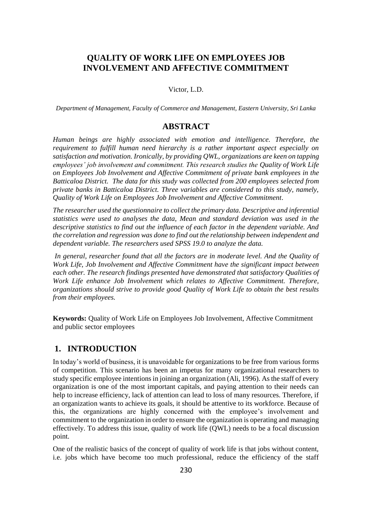# **QUALITY OF WORK LIFE ON EMPLOYEES JOB INVOLVEMENT AND AFFECTIVE COMMITMENT**

Victor, L.D.

*Department of Management, Faculty of Commerce and Management, Eastern University, Sri Lanka*

## **ABSTRACT**

*Human beings are highly associated with emotion and intelligence. Therefore, the requirement to fulfill human need hierarchy is a rather important aspect especially on satisfaction and motivation. Ironically, by providing QWL, organizations are keen on tapping employees' job involvement and commitment. This research studies the Quality of Work Life on Employees Job Involvement and Affective Commitment of private bank employees in the Batticaloa District. The data for this study was collected from 200 employees selected from private banks in Batticaloa District. Three variables are considered to this study, namely, Quality of Work Life on Employees Job Involvement and Affective Commitment.*

*The researcher used the questionnaire to collect the primary data. Descriptive and inferential statistics were used to analyses the data, Mean and standard deviation was used in the descriptive statistics to find out the influence of each factor in the dependent variable. And the correlation and regression was done to find out the relationship between independent and dependent variable. The researchers used SPSS 19.0 to analyze the data.*

*In general, researcher found that all the factors are in moderate level. And the Quality of Work Life, Job Involvement and Affective Commitment have the significant impact between each other. The research findings presented have demonstrated that satisfactory Qualities of*  Work Life enhance Job Involvement which relates to Affective Commitment. Therefore, *organizations should strive to provide good Quality of Work Life to obtain the best results from their employees.*

**Keywords:** Quality of Work Life on Employees Job Involvement, Affective Commitment and public sector employees

# **1. INTRODUCTION**

In today's world of business, it is unavoidable for organizations to be free from various forms of competition. This scenario has been an impetus for many organizational researchers to study specific employee intentions in joining an organization (Ali, 1996). As the staff of every organization is one of the most important capitals, and paying attention to their needs can help to increase efficiency, lack of attention can lead to loss of many resources. Therefore, if an organization wants to achieve its goals, it should be attentive to its workforce. Because of this, the organizations are highly concerned with the employee's involvement and commitment to the organization in order to ensure the organization is operating and managing effectively. To address this issue, quality of work life (QWL) needs to be a focal discussion point.

One of the realistic basics of the concept of quality of work life is that jobs without content, i.e. jobs which have become too much professional, reduce the efficiency of the staff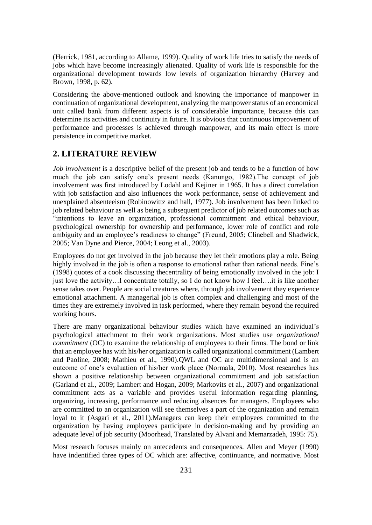(Herrick, 1981, according to Allame, 1999). Quality of work life tries to satisfy the needs of jobs which have become increasingly alienated. Quality of work life is responsible for the organizational development towards low levels of organization hierarchy (Harvey and Brown, 1998, p. 62).

Considering the above-mentioned outlook and knowing the importance of manpower in continuation of organizational development, analyzing the manpower status of an economical unit called bank from different aspects is of considerable importance, because this can determine its activities and continuity in future. It is obvious that continuous improvement of performance and processes is achieved through manpower, and its main effect is more persistence in competitive market.

## **2. LITERATURE REVIEW**

*Job involvement* is a descriptive belief of the present job and tends to be a function of how much the job can satisfy one's present needs (Kanungo, 1982).The concept of job involvement was first introduced by Lodahl and Kejiner in 1965. It has a direct correlation with job satisfaction and also influences the work performance, sense of achievement and unexplained absenteeism (Robinowittz and hall, 1977). Job involvement has been linked to job related behaviour as well as being a subsequent predictor of job related outcomes such as "intentions to leave an organization, professional commitment and ethical behaviour, psychological ownership for ownership and performance, lower role of conflict and role ambiguity and an employee's readiness to change" (Freund, 2005; Clinebell and Shadwick, 2005; Van Dyne and Pierce, 2004; Leong et al., 2003).

Employees do not get involved in the job because they let their emotions play a role. Being highly involved in the job is often a response to emotional rather than rational needs. Fine's (1998) quotes of a cook discussing thecentrality of being emotionally involved in the job: I just love the activity…I concentrate totally, so I do not know how I feel….it is like another sense takes over. People are social creatures where, through job involvement they experience emotional attachment. A managerial job is often complex and challenging and most of the times they are extremely involved in task performed, where they remain beyond the required working hours.

There are many organizational behaviour studies which have examined an individual's psychological attachment to their work organizations. Most studies use *organizational commitment* (OC) to examine the relationship of employees to their firms. The bond or link that an employee has with his/her organization is called organizational commitment (Lambert and Paoline, 2008; Mathieu et al., 1990).QWL and OC are multidimensional and is an outcome of one's evaluation of his/her work place (Normala, 2010). Most researches has shown a positive relationship between organizational commitment and job satisfaction (Garland et al., 2009; Lambert and Hogan, 2009; Markovits et al., 2007) and organizational commitment acts as a variable and provides useful information regarding planning, organizing, increasing, performance and reducing absences for managers. Employees who are committed to an organization will see themselves a part of the organization and remain loyal to it (Asgari et al., 2011).Managers can keep their employees committed to the organization by having employees participate in decision-making and by providing an adequate level of job security (Moorhead, Translated by Alvani and Memarzadeh, 1995: 75).

Most research focuses mainly on antecedents and consequences. Allen and Meyer (1990) have indentified three types of OC which are: affective, continuance, and normative. Most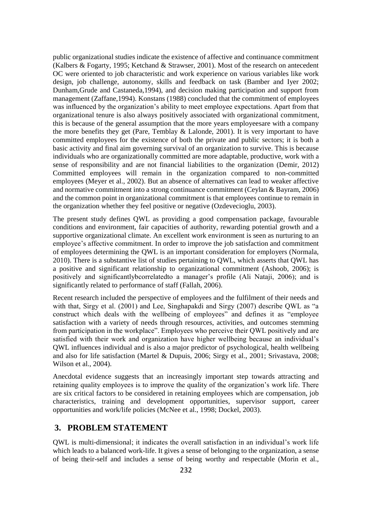public organizational studies indicate the existence of affective and continuance commitment (Kalbers & Fogarty, 1995; Ketchand & Strawser, 2001). Most of the research on antecedent OC were oriented to job characteristic and work experience on various variables like work design, job challenge, autonomy, skills and feedback on task (Bamber and Iyer 2002; Dunham,Grude and Castaneda,1994), and decision making participation and support from management (Zaffane,1994). Konstans (1988) concluded that the commitment of employees was influenced by the organization's ability to meet employee expectations. Apart from that organizational tenure is also always positively associated with organizational commitment, this is because of the general assumption that the more years employeesare with a company the more benefits they get (Pare, Temblay & Lalonde, 2001). It is very important to have committed employees for the existence of both the private and public sectors; it is both a basic activity and final aim governing survival of an organization to survive. This is because individuals who are organizationally committed are more adaptable, productive, work with a sense of responsibility and are not financial liabilities to the organization (Demir, 2012) Committed employees will remain in the organization compared to non-committed employees (Meyer et al., 2002). But an absence of alternatives can lead to weaker affective and normative commitment into a strong continuance commitment (Ceylan & Bayram, 2006) and the common point in organizational commitment is that employees continue to remain in the organization whether they feel positive or negative (Ozdevecioglu, 2003).

The present study defines QWL as providing a good compensation package, favourable conditions and environment, fair capacities of authority, rewarding potential growth and a supportive organizational climate. An excellent work environment is seen as nurturing to an employee's affective commitment. In order to improve the job satisfaction and commitment of employees determining the QWL is an important consideration for employers (Normala, 2010). There is a substantive list of studies pertaining to QWL, which asserts that QWL has a positive and significant relationship to organizational commitment (Ashoob, 2006); is positively and significantlybcorrelatedto a manager's profile (Ali Nataji, 2006); and is significantly related to performance of staff (Fallah, 2006).

Recent research included the perspective of employees and the fulfilment of their needs and with that, Sirgy et al. (2001) and Lee, Singhapakdi and Sirgy (2007) describe QWL as "a construct which deals with the wellbeing of employees" and defines it as "employee satisfaction with a variety of needs through resources, activities, and outcomes stemming from participation in the workplace". Employees who perceive their QWL positively and are satisfied with their work and organization have higher wellbeing because an individual's QWL influences individual and is also a major predictor of psychological, health wellbeing and also for life satisfaction (Martel & Dupuis, 2006; Sirgy et al., 2001; Srivastava, 2008; Wilson et al., 2004).

Anecdotal evidence suggests that an increasingly important step towards attracting and retaining quality employees is to improve the quality of the organization's work life. There are six critical factors to be considered in retaining employees which are compensation, job characteristics, training and development opportunities, supervisor support, career opportunities and work/life policies (McNee et al., 1998; Dockel, 2003).

# **3. PROBLEM STATEMENT**

QWL is multi-dimensional; it indicates the overall satisfaction in an individual's work life which leads to a balanced work-life. It gives a sense of belonging to the organization, a sense of being their-self and includes a sense of being worthy and respectable (Morin et al.,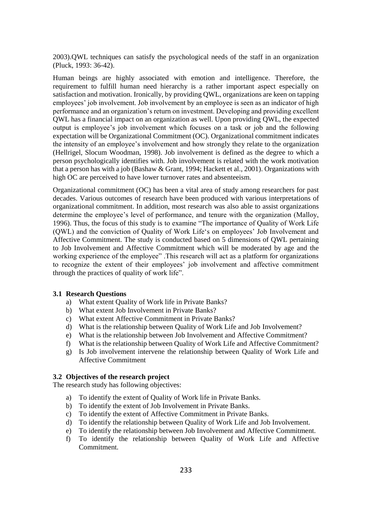2003).QWL techniques can satisfy the psychological needs of the staff in an organization (Pluck, 1993: 36-42).

Human beings are highly associated with emotion and intelligence. Therefore, the requirement to fulfill human need hierarchy is a rather important aspect especially on satisfaction and motivation. Ironically, by providing QWL, organizations are keen on tapping employees' job involvement. Job involvement by an employee is seen as an indicator of high performance and an organization's return on investment. Developing and providing excellent QWL has a financial impact on an organization as well. Upon providing QWL, the expected output is employee's job involvement which focuses on a task or job and the following expectation will be Organizational Commitment (OC). Organizational commitment indicates the intensity of an employee's involvement and how strongly they relate to the organization (Hellrigel, Slocum Woodman, 1998). Job involvement is defined as the degree to which a person psychologically identifies with. Job involvement is related with the work motivation that a person has with a job (Bashaw & Grant, 1994; Hackett et al., 2001). Organizations with high OC are perceived to have lower turnover rates and absenteeism.

Organizational commitment (OC) has been a vital area of study among researchers for past decades. Various outcomes of research have been produced with various interpretations of organizational commitment. In addition, most research was also able to assist organizations determine the employee's level of performance, and tenure with the organization (Malloy, 1996). Thus, the focus of this study is to examine "The importance of Quality of Work Life (QWL) and the conviction of Quality of Work Life's on employees' Job Involvement and Affective Commitment. The study is conducted based on 5 dimensions of QWL pertaining to Job Involvement and Affective Commitment which will be moderated by age and the working experience of the employee" .This research will act as a platform for organizations to recognize the extent of their employees' job involvement and affective commitment through the practices of quality of work life".

### **3.1 Research Questions**

- a) What extent Quality of Work life in Private Banks?
- b) What extent Job Involvement in Private Banks?
- c) What extent Affective Commitment in Private Banks?
- d) What is the relationship between Quality of Work Life and Job Involvement?
- e) What is the relationship between Job Involvement and Affective Commitment?
- f) What is the relationship between Quality of Work Life and Affective Commitment?
- g) Is Job involvement intervene the relationship between Quality of Work Life and Affective Commitment

## **3.2 Objectives of the research project**

The research study has following objectives:

- a) To identify the extent of Quality of Work life in Private Banks.
- b) To identify the extent of Job Involvement in Private Banks.
- c) To identify the extent of Affective Commitment in Private Banks.
- d) To identify the relationship between Quality of Work Life and Job Involvement.
- e) To identify the relationship between Job Involvement and Affective Commitment.
- f) To identify the relationship between Quality of Work Life and Affective Commitment.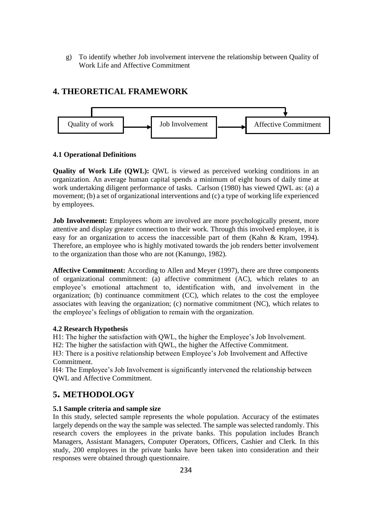g) To identify whether Job involvement intervene the relationship between Quality of Work Life and Affective Commitment

# **4. THEORETICAL FRAMEWORK**



### **4.1 Operational Definitions**

**Quality of Work Life (QWL):** QWL is viewed as perceived working conditions in an organization. An average human capital spends a minimum of eight hours of daily time at work undertaking diligent performance of tasks. Carlson (1980) has viewed QWL as: (a) a movement; (b) a set of organizational interventions and (c) a type of working life experienced by employees.

**Job Involvement:** Employees whom are involved are more psychologically present, more attentive and display greater connection to their work. Through this involved employee, it is easy for an organization to access the inaccessible part of them (Kahn & Kram, 1994). Therefore, an employee who is highly motivated towards the job renders better involvement to the organization than those who are not (Kanungo, 1982).

**Affective Commitment:** According to Allen and Meyer (1997), there are three components of organizational commitment: (a) affective commitment (AC), which relates to an employee's emotional attachment to, identification with, and involvement in the organization; (b) continuance commitment (CC), which relates to the cost the employee associates with leaving the organization; (c) normative commitment (NC), which relates to the employee's feelings of obligation to remain with the organization.

### **4.2 Research Hypothesis**

H1: The higher the satisfaction with QWL, the higher the Employee's Job Involvement.

H2: The higher the satisfaction with QWL, the higher the Affective Commitment.

H3: There is a positive relationship between Employee's Job Involvement and Affective Commitment.

H4: The Employee's Job Involvement is significantly intervened the relationship between QWL and Affective Commitment.

# **5. METHODOLOGY**

## **5.1 Sample criteria and sample size**

In this study, selected sample represents the whole population. Accuracy of the estimates largely depends on the way the sample was selected. The sample was selected randomly. This research covers the employees in the private banks. This population includes Branch Managers, Assistant Managers, Computer Operators, Officers, Cashier and Clerk. In this study, 200 employees in the private banks have been taken into consideration and their responses were obtained through questionnaire.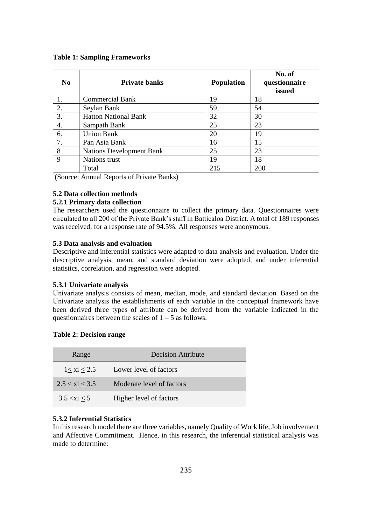#### **Table 1: Sampling Frameworks**

| N <sub>0</sub> | <b>Private banks</b>        | <b>Population</b> | No. of<br>questionnaire<br>issued |
|----------------|-----------------------------|-------------------|-----------------------------------|
|                | <b>Commercial Bank</b>      | 19                | 18                                |
| 2.             | Seylan Bank                 | 59                | 54                                |
| 3.             | <b>Hatton National Bank</b> | 32                | 30                                |
| 4.             | Sampath Bank                | 25                | 23                                |
| 6.             | <b>Union Bank</b>           | 20                | 19                                |
| 7.             | Pan Asia Bank               | 16                | 15                                |
| 8              | Nations Development Bank    | 25                | 23                                |
| $\mathbf Q$    | Nations trust               | 19                | 18                                |
|                | Total                       | 215               | 200                               |

(Source: Annual Reports of Private Banks)

### **5.2 Data collection methods**

## **5.2.1 Primary data collection**

The researchers used the questionnaire to collect the primary data. Questionnaires were circulated to all 200 of the Private Bank's staff in Batticaloa District. A total of 189 responses was received, for a response rate of 94.5%. All responses were anonymous.

#### **5.3 Data analysis and evaluation**

Descriptive and inferential statistics were adapted to data analysis and evaluation. Under the descriptive analysis, mean, and standard deviation were adopted, and under inferential statistics, correlation, and regression were adopted.

#### **5.3.1 Univariate analysis**

Univariate analysis consists of mean, median, mode, and standard deviation. Based on the Univariate analysis the establishments of each variable in the conceptual framework have been derived three types of attribute can be derived from the variable indicated in the questionnaires between the scales of  $1 - 5$  as follows.

|  |  |  | <b>Table 2: Decision range</b> |  |
|--|--|--|--------------------------------|--|
|--|--|--|--------------------------------|--|

| Range             | <b>Decision Attribute</b> |
|-------------------|---------------------------|
| $1 < x$ i $< 2.5$ | Lower level of factors    |
| $2.5 < x_i < 3.5$ | Moderate level of factors |
| 3.5 < xi < 5      | Higher level of factors   |

### **5.3.2 Inferential Statistics**

In this research model there are three variables, namely Quality of Work life, Job involvement and Affective Commitment. Hence, in this research, the inferential statistical analysis was made to determine: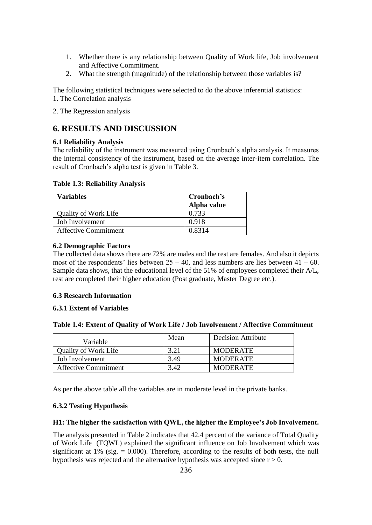- 1. Whether there is any relationship between Quality of Work life, Job involvement and Affective Commitment.
- 2. What the strength (magnitude) of the relationship between those variables is?

The following statistical techniques were selected to do the above inferential statistics: 1. The Correlation analysis

2. The Regression analysis

# **6. RESULTS AND DISCUSSION**

## **6.1 Reliability Analysis**

The reliability of the instrument was measured using Cronbach's alpha analysis. It measures the internal consistency of the instrument, based on the average inter-item correlation. The result of Cronbach's alpha test is given in Table 3.

|  |  | Table 1.3: Reliability Analysis |  |
|--|--|---------------------------------|--|
|--|--|---------------------------------|--|

| <b>Variables</b>            | Cronbach's  |
|-----------------------------|-------------|
|                             | Alpha value |
| <b>Quality of Work Life</b> | 0.733       |
| Job Involvement             | 0.918       |
| <b>Affective Commitment</b> | 0.8314      |

## **6.2 Demographic Factors**

The collected data shows there are 72% are males and the rest are females. And also it depicts most of the respondents' lies between  $25 - 40$ , and less numbers are lies between  $41 - 60$ . Sample data shows, that the educational level of the 51% of employees completed their A/L, rest are completed their higher education (Post graduate, Master Degree etc.).

### **6.3 Research Information**

### **6.3.1 Extent of Variables**

| Variable                    | Mean | <b>Decision Attribute</b> |
|-----------------------------|------|---------------------------|
| Quality of Work Life        | 3.21 | <b>MODERATE</b>           |
| Job Involvement             | 3.49 | <b>MODERATE</b>           |
| <b>Affective Commitment</b> | 3.42 | <b>MODERATE</b>           |

As per the above table all the variables are in moderate level in the private banks.

## **6.3.2 Testing Hypothesis**

### **H1: The higher the satisfaction with QWL, the higher the Employee's Job Involvement.**

The analysis presented in Table 2 indicates that 42.4 percent of the variance of Total Quality of Work Life (TQWL) explained the significant influence on Job Involvement which was significant at 1% (sig.  $= 0.000$ ). Therefore, according to the results of both tests, the null hypothesis was rejected and the alternative hypothesis was accepted since  $r > 0$ .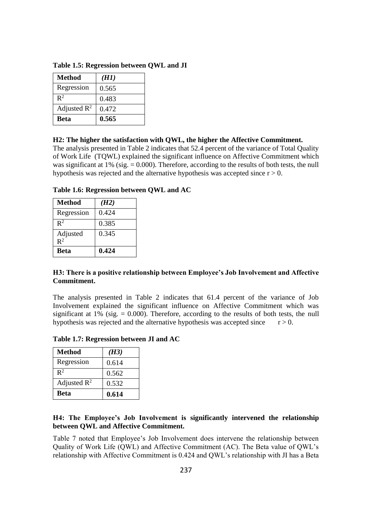| <b>Method</b>           | (H1)  |
|-------------------------|-------|
| Regression              | 0.565 |
| $\mathbb{R}^2$          | 0.483 |
| Adjusted $\mathbb{R}^2$ | 0.472 |
| <b>Beta</b>             | 0.565 |

**Table 1.5: Regression between QWL and JI**

#### **H2: The higher the satisfaction with QWL, the higher the Affective Commitment.**

The analysis presented in Table 2 indicates that 52.4 percent of the variance of Total Quality of Work Life (TQWL) explained the significant influence on Affective Commitment which was significant at 1% (sig. = 0.000). Therefore, according to the results of both tests, the null hypothesis was rejected and the alternative hypothesis was accepted since  $r > 0$ .

**Table 1.6: Regression between QWL and AC**

| <b>Method</b>  | (H2)  |
|----------------|-------|
| Regression     | 0.424 |
| $\mathbb{R}^2$ | 0.385 |
| Adjusted       | 0.345 |
| $R^2$          |       |
| <b>Beta</b>    | 0.424 |

## **H3: There is a positive relationship between Employee's Job Involvement and Affective Commitment.**

The analysis presented in Table 2 indicates that 61.4 percent of the variance of Job Involvement explained the significant influence on Affective Commitment which was significant at 1% (sig.  $= 0.000$ ). Therefore, according to the results of both tests, the null hypothesis was rejected and the alternative hypothesis was accepted since  $r > 0$ .

**Table 1.7: Regression between JI and AC**

| <b>Method</b>           | (H3)  |
|-------------------------|-------|
| Regression              | 0.614 |
| $\mathbb{R}^2$          | 0.562 |
| Adjusted $\mathbb{R}^2$ | 0.532 |
| <b>Beta</b>             | 0.614 |

## **H4: The Employee's Job Involvement is significantly intervened the relationship between QWL and Affective Commitment.**

Table 7 noted that Employee's Job Involvement does intervene the relationship between Quality of Work Life (QWL) and Affective Commitment (AC). The Beta value of QWL's relationship with Affective Commitment is 0.424 and QWL's relationship with JI has a Beta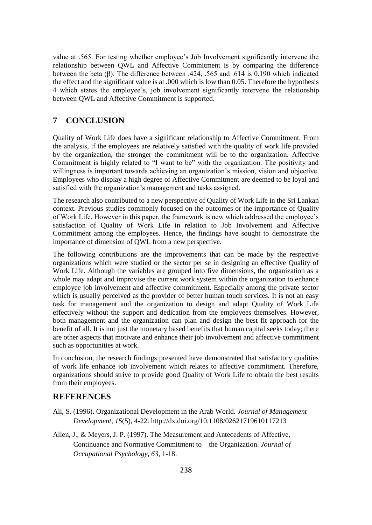value at .565. For testing whether employee's Job Involvement significantly intervene the relationship between QWL and Affective Commitment is by comparing the difference between the beta (β). The difference between .424, .565 and .614 is 0.190 which indicated the effect and the significant value is at .000 which is low than 0.05. Therefore the hypothesis 4 which states the employee's, job involvement significantly intervene the relationship between QWL and Affective Commitment is supported.

## **7 CONCLUSION**

Quality of Work Life does have a significant relationship to Affective Commitment. From the analysis, if the employees are relatively satisfied with the quality of work life provided by the organization, the stronger the commitment will be to the organization. Affective Commitment is highly related to "I want to be" with the organization. The positivity and willingness is important towards achieving an organization's mission, vision and objective. Employees who display a high degree of Affective Commitment are deemed to be loyal and satisfied with the organization's management and tasks assigned.

The research also contributed to a new perspective of Quality of Work Life in the Sri Lankan context. Previous studies commonly focused on the outcomes or the importance of Quality of Work Life. However in this paper, the framework is new which addressed the employee's satisfaction of Quality of Work Life in relation to Job Involvement and Affective Commitment among the employees. Hence, the findings have sought to demonstrate the importance of dimension of QWL from a new perspective.

The following contributions are the improvements that can be made by the respective organizations which were studied or the sector per se in designing an effective Quality of Work Life. Although the variables are grouped into five dimensions, the organization as a whole may adapt and improvise the current work system within the organization to enhance employee job involvement and affective commitment. Especially among the private sector which is usually perceived as the provider of better human touch services. It is not an easy task for management and the organization to design and adapt Quality of Work Life effectively without the support and dedication from the employees themselves. However, both management and the organization can plan and design the best fit approach for the benefit of all. It is not just the monetary based benefits that human capital seeks today; there are other aspects that motivate and enhance their job involvement and affective commitment such as opportunities at work.

In conclusion, the research findings presented have demonstrated that satisfactory qualities of work life enhance job involvement which relates to affective commitment. Therefore, organizations should strive to provide good Quality of Work Life to obtain the best results from their employees.

## **REFERENCES**

- Ali, S. (1996). Organizational Development in the Arab World. *Journal of Management Development, 15*(5), 4-22. http://dx.doi.org/10.1108/02621719610117213
- Allen, J., & Meyers, J. P. (1997). The Measurement and Antecedents of Affective, Continuance and Normative Commitment to the Organization. *Journal of Occupational Psychology, 63*, 1-18.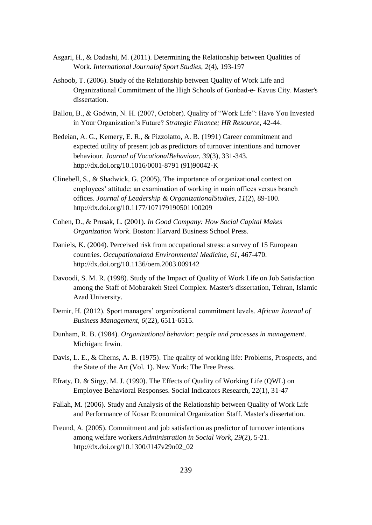- Asgari, H., & Dadashi, M. (2011). Determining the Relationship between Qualities of Work. *International Journalof Sport Studies, 2*(4), 193-197
- Ashoob, T. (2006). Study of the Relationship between Quality of Work Life and Organizational Commitment of the High Schools of Gonbad-e- Kavus City. Master's dissertation.
- Ballou, B., & Godwin, N. H. (2007, October). Quality of "Work Life": Have You Invested in Your Organization's Future? *Strategic Finance; HR Resource*, 42-44.
- Bedeian, A. G., Kemery, E. R., & Pizzolatto, A. B. (1991) Career commitment and expected utility of present job as predictors of turnover intentions and turnover behaviour. *Journal of VocationalBehaviour, 39*(3), 331-343. http://dx.doi.org/10.1016/0001-8791 (91)90042-K
- Clinebell, S., & Shadwick, G. (2005). The importance of organizational context on employees' attitude: an examination of working in main offices versus branch offices. *Journal of Leadership & OrganizationalStudies, 11*(2), 89-100. http://dx.doi.org/10.1177/107179190501100209
- Cohen, D., & Prusak, L. (2001). *In Good Company: How Social Capital Makes Organization Work*. Boston: Harvard Business School Press.
- Daniels, K. (2004). Perceived risk from occupational stress: a survey of 15 European countries. *Occupationaland Environmental Medicine, 61*, 467-470. http://dx.doi.org/10.1136/oem.2003.009142
- Davoodi, S. M. R. (1998). Study of the Impact of Quality of Work Life on Job Satisfaction among the Staff of Mobarakeh Steel Complex. Master's dissertation, Tehran, Islamic Azad University.
- Demir, H. (2012). Sport managers' organizational commitment levels. *African Journal of Business Management, 6*(22), 6511-6515.
- Dunham, R. B. (1984). *Organizational behavior: people and processes in management*. Michigan: Irwin.
- Davis, L. E., & Cherns, A. B. (1975). The quality of working life: Problems, Prospects, and the State of the Art (Vol. 1). New York: The Free Press.
- Efraty, D. & Sirgy, M. J. (1990). The Effects of Quality of Working Life (QWL) on Employee Behavioral Responses. Social Indicators Research, 22(1), 31-47
- Fallah, M. (2006). Study and Analysis of the Relationship between Quality of Work Life and Performance of Kosar Economical Organization Staff. Master's dissertation.
- Freund, A. (2005). Commitment and job satisfaction as predictor of turnover intentions among welfare workers.*Administration in Social Work, 29*(2), 5-21. http://dx.doi.org/10.1300/J147v29n02\_02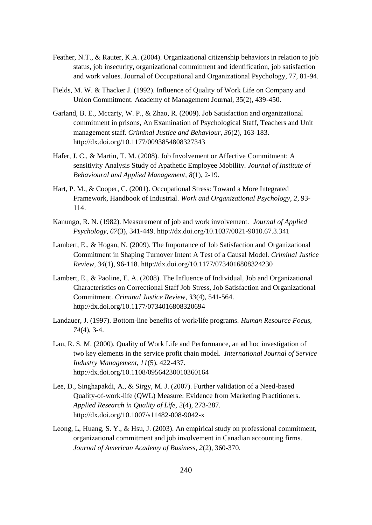- Feather, N.T., & Rauter, K.A. (2004). Organizational citizenship behaviors in relation to job status, job insecurity, organizational commitment and identification, job satisfaction and work values. Journal of Occupational and Organizational Psychology, 77, 81-94.
- Fields, M. W. & Thacker J. (1992). Influence of Quality of Work Life on Company and Union Commitment. Academy of Management Journal, 35(2), 439-450.
- Garland, B. E., Mccarty, W. P., & Zhao, R. (2009). Job Satisfaction and organizational commitment in prisons, An Examination of Psychological Staff, Teachers and Unit management staff. *Criminal Justice and Behaviour, 36*(2), 163-183. http://dx.doi.org/10.1177/0093854808327343
- Hafer, J. C., & Martin, T. M. (2008). Job Involvement or Affective Commitment: A sensitivity Analysis Study of Apathetic Employee Mobility. *Journal of Institute of Behavioural and Applied Management, 8*(1), 2-19.
- Hart, P. M., & Cooper, C. (2001). Occupational Stress: Toward a More Integrated Framework, Handbook of Industrial. *Work and Organizational Psychology, 2*, 93- 114.
- Kanungo, R. N. (1982). Measurement of job and work involvement. *Journal of Applied Psychology, 67*(3), 341-449. http://dx.doi.org/10.1037/0021-9010.67.3.341
- Lambert, E., & Hogan, N. (2009). The Importance of Job Satisfaction and Organizational Commitment in Shaping Turnover Intent A Test of a Causal Model. *Criminal Justice Review, 34*(1), 96-118. http://dx.doi.org/10.1177/0734016808324230
- Lambert, E., & Paoline, E. A. (2008). The Influence of Individual, Job and Organizational Characteristics on Correctional Staff Job Stress, Job Satisfaction and Organizational Commitment. *Criminal Justice Review, 33*(4), 541-564. http://dx.doi.org/10.1177/0734016808320694
- Landauer, J. (1997). Bottom-line benefits of work/life programs. *Human Resource Focus, 74*(4), 3-4.
- Lau, R. S. M. (2000). Quality of Work Life and Performance, an ad hoc investigation of two key elements in the service profit chain model. *International Journal of Service Industry Management, 11*(5), 422-437. http://dx.doi.org/10.1108/09564230010360164
- Lee, D., Singhapakdi, A., & Sirgy, M. J. (2007). Further validation of a Need-based Quality-of-work-life (QWL) Measure: Evidence from Marketing Practitioners. *Applied Research in Quality of Life, 2*(4), 273-287. http://dx.doi.org/10.1007/s11482-008-9042-x
- Leong, L, Huang, S. Y., & Hsu, J. (2003). An empirical study on professional commitment, organizational commitment and job involvement in Canadian accounting firms*. Journal of American Academy of Business, 2*(2), 360-370.